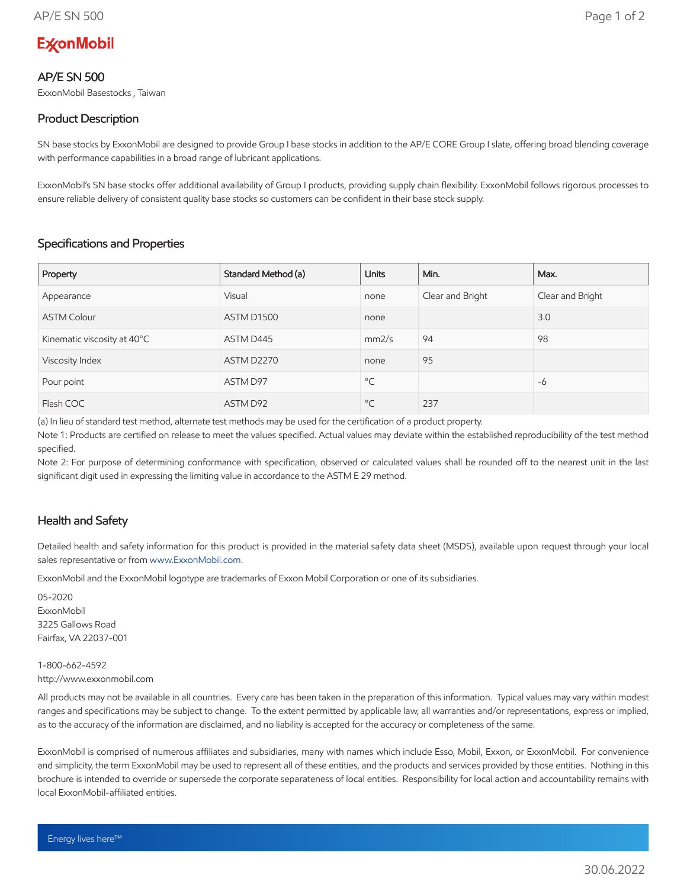# **ExconMobil**

### AP/E SN 500

ExxonMobil Basestocks , Taiwan

## Product Description

SN base stocks by ExxonMobil are designed to provide Group I base stocks in addition to the AP/E CORE Group I slate, offering broad blending coverage with performance capabilities in a broad range of lubricant applications.

ExxonMobil's SN base stocks offer additional availability of Group I products, providing supply chain flexibility. ExxonMobil follows rigorous processes to ensure reliable delivery of consistent quality base stocks so customers can be confident in their base stock supply.

## Specifications and Properties

| Property                    | Standard Method (a) | <b>Units</b> | Min.             | Max.             |
|-----------------------------|---------------------|--------------|------------------|------------------|
| Appearance                  | Visual              | none         | Clear and Bright | Clear and Bright |
| <b>ASTM Colour</b>          | ASTM D1500          | none         |                  | 3.0              |
| Kinematic viscosity at 40°C | ASTM D445           | mm2/s        | 94               | 98               |
| Viscosity Index             | <b>ASTM D2270</b>   | none         | 95               |                  |
| Pour point                  | ASTM D97            | $^{\circ}$ C |                  | -6               |
| Flash COC                   | ASTM D92            | $^{\circ}$ C | 237              |                  |

(a) In lieu of standard test method, alternate test methods may be used for the certification of a product property.

Note 1: Products are certified on release to meet the values specified. Actual values may deviate within the established reproducibility of the test method specified.

Note 2: For purpose of determining conformance with specification, observed or calculated values shall be rounded off to the nearest unit in the last significant digit used in expressing the limiting value in accordance to the ASTM E 29 method.

### Health and Safety

Detailed health and safety information for this product is provided in the material safety data sheet (MSDS), available upon request through your local sales representative or from www.ExxonMobil.com.

ExxonMobil and the ExxonMobil logotype are trademarks of Exxon Mobil Corporation or one of its subsidiaries.

05-2020 **ExxonMobil** 3225 Gallows Road Fairfax, VA 22037-001

1-800-662-4592 http://www.exxonmobil.com

All products may not be available in all countries. Every care has been taken in the preparation of this information. Typical values may vary within modest ranges and specifications may be subject to change. To the extent permitted by applicable law, all warranties and/or representations, express or implied, as to the accuracy of the information are disclaimed, and no liability is accepted for the accuracy or completeness of the same.

ExxonMobil is comprised of numerous affiliates and subsidiaries, many with names which include Esso, Mobil, Exxon, or ExxonMobil. For convenience and simplicity, the term ExxonMobil may be used to represent all of these entities, and the products and services provided by those entities. Nothing in this brochure is intended to override or supersede the corporate separateness of local entities. Responsibility for local action and accountability remains with local ExxonMobil-affiliated entities.